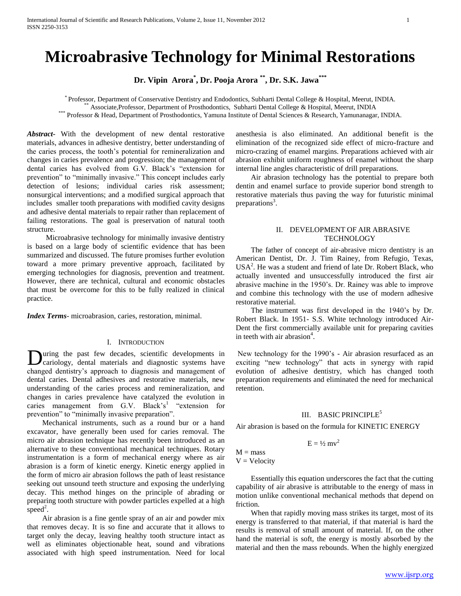# **Microabrasive Technology for Minimal Restorations**

**Dr. Vipin Arora\* , Dr. Pooja Arora \*\* , Dr. S.K. Jawa\*\*\***

\* Professor, Department of Conservative Dentistry and Endodontics, Subharti Dental College & Hospital, Meerut, INDIA. <sup>\*</sup> Associate,Professor, Department of Prosthodontics, Subharti Dental College & Hospital, Meerut, INDIA

\*\*\* Professor & Head, Department of Prosthodontics, Yamuna Institute of Dental Sciences & Research, Yamunanagar, INDIA.

*Abstract***-** With the development of new dental restorative materials, advances in adhesive dentistry, better understanding of the caries process, the tooth's potential for remineralization and changes in caries prevalence and progression; the management of dental caries has evolved from G.V. Black's "extension for prevention" to "minimally invasive." This concept includes early detection of lesions; individual caries risk assessment; nonsurgical interventions; and a modified surgical approach that includes smaller tooth preparations with modified cavity designs and adhesive dental materials to repair rather than replacement of failing restorations. The goal is preservation of natural tooth structure.

 Microabrasive technology for minimally invasive dentistry is based on a large body of scientific evidence that has been summarized and discussed. The future promises further evolution toward a more primary preventive approach, facilitated by emerging technologies for diagnosis, prevention and treatment. However, there are technical, cultural and economic obstacles that must be overcome for this to be fully realized in clinical practice.

*Index Terms*- microabrasion, caries, restoration, minimal.

### I. INTRODUCTION

uring the past few decades, scientific developments in cariology, dental materials and diagnostic systems have **D**uring the past few decades, scientific developments in cariology, dental materials and diagnostic systems have changed dentistry's approach to diagnosis and management of dental caries. Dental adhesives and restorative materials, new understanding of the caries process and remineralization, and changes in caries prevalence have catalyzed the evolution in caries management from G.V. Black's<sup>1</sup> "extension for prevention" to "minimally invasive preparation".

 Mechanical instruments, such as a round bur or a hand excavator, have generally been used for caries removal. The micro air abrasion technique has recently been introduced as an alternative to these conventional mechanical techniques. Rotary instrumentation is a form of mechanical energy where as air abrasion is a form of kinetic energy. Kinetic energy applied in the form of micro air abrasion follows the path of least resistance seeking out unsound teeth structure and exposing the underlying decay. This method hinges on the principle of abrading or preparing tooth structure with powder particles expelled at a high  $speed^2$ .

 Air abrasion is a fine gentle spray of an air and powder mix that removes decay. It is so fine and accurate that it allows to target only the decay, leaving healthy tooth structure intact as well as eliminates objectionable heat, sound and vibrations associated with high speed instrumentation. Need for local

anesthesia is also eliminated. An additional benefit is the elimination of the recognized side effect of micro-fracture and micro-crazing of enamel margins. Preparations achieved with air abrasion exhibit uniform roughness of enamel without the sharp internal line angles characteristic of drill preparations.

 Air abrasion technology has the potential to prepare both dentin and enamel surface to provide superior bond strength to restorative materials thus paving the way for futuristic minimal preparations<sup>3</sup>.

# II. DEVELOPMENT OF AIR ABRASIVE **TECHNOLOGY**

 The father of concept of air-abrasive micro dentistry is an American Dentist, Dr. J. Tim Rainey, from Refugio, Texas,  $USA<sup>2</sup>$ . He was a student and friend of late Dr. Robert Black, who actually invented and unsuccessfully introduced the first air abrasive machine in the 1950's. Dr. Rainey was able to improve and combine this technology with the use of modern adhesive restorative material.

 The instrument was first developed in the 1940's by Dr. Robert Black. In 1951- S.S. White technology introduced Air-Dent the first commercially available unit for preparing cavities in teeth with air abrasion<sup>4</sup>.

New technology for the 1990's - Air abrasion resurfaced as an exciting "new technology" that acts in synergy with rapid evolution of adhesive dentistry, which has changed tooth preparation requirements and eliminated the need for mechanical retention.

### III. BASIC PRINCIPLE<sup>5</sup>

Air abrasion is based on the formula for KINETIC ENERGY

$$
E = \frac{1}{2} m v^2
$$

 $M =$  mass  $V = Velocity$ 

 Essentially this equation underscores the fact that the cutting capability of air abrasive is attributable to the energy of mass in motion unlike conventional mechanical methods that depend on friction.

 When that rapidly moving mass strikes its target, most of its energy is transferred to that material, if that material is hard the results is removal of small amount of material. If, on the other hand the material is soft, the energy is mostly absorbed by the material and then the mass rebounds. When the highly energized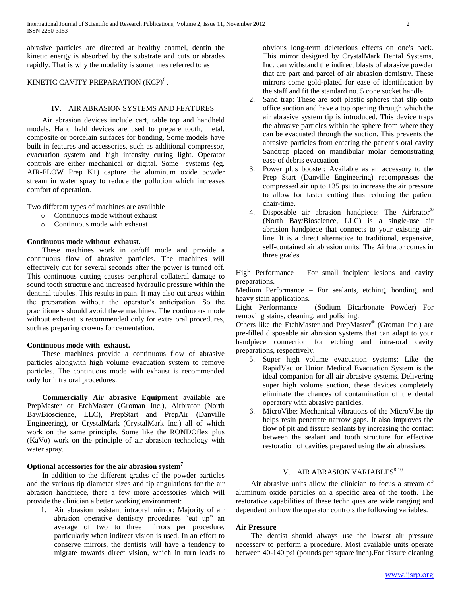abrasive particles are directed at healthy enamel, dentin the kinetic energy is absorbed by the substrate and cuts or abrades rapidly. That is why the modality is sometimes referred to as

# KINETIC CAVITY PREPARATION (KCP)<sup>6</sup>.

### **IV.** AIR ABRASION SYSTEMS AND FEATURES

 Air abrasion devices include cart, table top and handheld models. Hand held devices are used to prepare tooth, metal, composite or porcelain surfaces for bonding. Some models have built in features and accessories, such as additional compressor, evacuation system and high intensity curing light. Operator controls are either mechanical or digital. Some systems (eg. AIR-FLOW Prep K1) capture the aluminum oxide powder stream in water spray to reduce the pollution which increases comfort of operation.

Two different types of machines are available

- o Continuous mode without exhaust
- o Continuous mode with exhaust

# **Continuous mode without exhaust.**

 These machines work in on/off mode and provide a continuous flow of abrasive particles. The machines will effectively cut for several seconds after the power is turned off. This continuous cutting causes peripheral collateral damage to sound tooth structure and increased hydraulic pressure within the dentinal tubules. This results in pain. It may also cut areas within the preparation without the operator's anticipation. So the practitioners should avoid these machines. The continuous mode without exhaust is recommended only for extra oral procedures, such as preparing crowns for cementation.

### **Continuous mode with exhaust.**

 These machines provide a continuous flow of abrasive particles alongwith high volume evacuation system to remove particles. The continuous mode with exhaust is recommended only for intra oral procedures.

 **Commercially Air abrasive Equipment** available are PrepMaster or EtchMaster (Groman Inc.), Airbrator (North Bay/Bioscience, LLC), PrepStart and PrepAir (Danville Engineering), or CrystalMark (CrystalMark Inc.) all of which work on the same principle. Some like the RONDOflex plus (KaVo) work on the principle of air abrasion technology with water spray.

### **Optional accessories for the air abrasion system<sup>7</sup>**

 In addition to the different grades of the powder particles and the various tip diameter sizes and tip angulations for the air abrasion handpiece, there a few more accessories which will provide the clinician a better working environment:

1. Air abrasion resistant intraoral mirror: Majority of air abrasion operative dentistry procedures "eat up" an average of two to three mirrors per procedure, particularly when indirect vision is used. In an effort to conserve mirrors, the dentists will have a tendency to migrate towards direct vision, which in turn leads to

obvious long-term deleterious effects on one's back. This mirror designed by CrystalMark Dental Systems, Inc. can withstand the indirect blasts of abrasive powder that are part and parcel of air abrasion dentistry. These mirrors come gold-plated for ease of identification by the staff and fit the standard no. 5 cone socket handle.

- 2. Sand trap: These are soft plastic spheres that slip onto office suction and have a top opening through which the air abrasive system tip is introduced. This device traps the abrasive particles within the sphere from where they can be evacuated through the suction. This prevents the abrasive particles from entering the patient's oral cavity Sandtrap placed on mandibular molar demonstrating ease of debris evacuation
- 3. Power plus booster: Available as an accessory to the Prep Start (Danville Engineering) recompresses the compressed air up to 135 psi to increase the air pressure to allow for faster cutting thus reducing the patient chair-time.
- 4. Disposable air abrasion handpiece: The Airbrator® (North Bay/Bioscience, LLC) is a single-use air abrasion handpiece that connects to your existing airline. It is a direct alternative to traditional, expensive, self-contained air abrasion units. The Airbrator comes in three grades.

High Performance – For small incipient lesions and cavity preparations.

Medium Performance – For sealants, etching, bonding, and heavy stain applications.

Light Performance – (Sodium Bicarbonate Powder) For removing stains, cleaning, and polishing.

Others like the EtchMaster and PrepMaster® (Groman Inc.) are pre-filled disposable air abrasion systems that can adapt to your handpiece connection for etching and intra-oral cavity preparations, respectively.

- 5. Super high volume evacuation systems: Like the RapidVac or Union Medical Evacuation System is the ideal companion for all air abrasive systems. Delivering super high volume suction, these devices completely eliminate the chances of contamination of the dental operatory with abrasive particles.
- 6. MicroVibe: Mechanical vibrations of the MicroVibe tip helps resin penetrate narrow gaps. It also improves the flow of pit and fissure sealants by increasing the contact between the sealant and tooth structure for effective restoration of cavities prepared using the air abrasives.

# V. AIR ABRASION VARIABLES<sup>8-10</sup>

 Air abrasive units allow the clinician to focus a stream of aluminum oxide particles on a specific area of the tooth. The restorative capabilities of these techniques are wide ranging and dependent on how the operator controls the following variables.

### **Air Pressure**

 The dentist should always use the lowest air pressure necessary to perform a procedure. Most available units operate between 40-140 psi (pounds per square inch).For fissure cleaning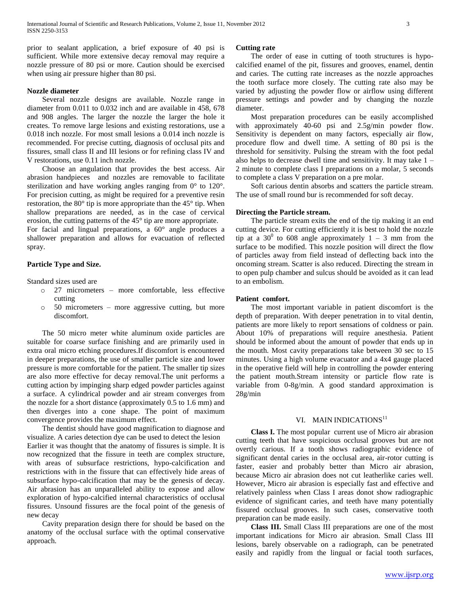prior to sealant application, a brief exposure of 40 psi is sufficient. While more extensive decay removal may require a nozzle pressure of 80 psi or more. Caution should be exercised when using air pressure higher than 80 psi.

### **Nozzle diameter**

 Several nozzle designs are available. Nozzle range in diameter from 0.011 to 0.032 inch and are available in 458, 678 and 908 angles. The larger the nozzle the larger the hole it creates. To remove large lesions and existing restorations, use a 0.018 inch nozzle. For most small lesions a 0.014 inch nozzle is recommended. For precise cutting, diagnosis of occlusal pits and fissures, small class II and III lesions or for refining class IV and V restorations, use 0.11 inch nozzle.

 Choose an angulation that provides the best access. Air abrasion handpieces and nozzles are removable to facilitate sterilization and have working angles ranging from 0° to 120°. For precision cutting, as might be required for a preventive resin restoration, the 80° tip is more appropriate than the 45° tip. When shallow preparations are needed, as in the case of cervical erosion, the cutting patterns of the 45° tip are more appropriate. For facial and lingual preparations, a 60° angle produces a

shallower preparation and allows for evacuation of reflected spray.

# **Particle Type and Size.**

Standard sizes used are

- o 27 micrometers more comfortable, less effective cutting
- o 50 micrometers more aggressive cutting, but more discomfort.

 The 50 micro meter white aluminum oxide particles are suitable for coarse surface finishing and are primarily used in extra oral micro etching procedures.If discomfort is encountered in deeper preparations, the use of smaller particle size and lower pressure is more comfortable for the patient. The smaller tip sizes are also more effective for decay removal.The unit performs a cutting action by impinging sharp edged powder particles against a surface. A cylindrical powder and air stream converges from the nozzle for a short distance (approximately 0.5 to 1.6 mm) and then diverges into a cone shape. The point of maximum convergence provides the maximum effect.

 The dentist should have good magnification to diagnose and visualize. A caries detection dye can be used to detect the lesion Earlier it was thought that the anatomy of fissures is simple. It is now recognized that the fissure in teeth are complex structure, with areas of subsurface restrictions, hypo-calcification and restrictions with in the fissure that can effectively hide areas of subsurface hypo-calcification that may be the genesis of decay. Air abrasion has an unparalleled ability to expose and allow exploration of hypo-calcified internal characteristics of occlusal fissures. Unsound fissures are the focal point of the genesis of new decay

 Cavity preparation design there for should be based on the anatomy of the occlusal surface with the optimal conservative approach.

#### **Cutting rate**

 The order of ease in cutting of tooth structures is hypocalcified enamel of the pit, fissures and grooves, enamel, dentin and caries. The cutting rate increases as the nozzle approaches the tooth surface more closely. The cutting rate also may be varied by adjusting the powder flow or airflow using different pressure settings and powder and by changing the nozzle diameter.

 Most preparation procedures can be easily accomplished with approximately 40-60 psi and 2.5g/min powder flow. Sensitivity is dependent on many factors, especially air flow, procedure flow and dwell time. A setting of 80 psi is the threshold for sensitivity. Pulsing the stream with the foot pedal also helps to decrease dwell time and sensitivity. It may take 1 – 2 minute to complete class I preparations on a molar, 5 seconds to complete a class V preparation on a pre molar.

 Soft carious dentin absorbs and scatters the particle stream. The use of small round bur is recommended for soft decay.

#### **Directing the Particle stream.**

 The particle stream exits the end of the tip making it an end cutting device. For cutting efficiently it is best to hold the nozzle tip at a  $30^0$  to 608 angle approximately  $1 - 3$  mm from the surface to be modified. This nozzle position will direct the flow of particles away from field instead of deflecting back into the oncoming stream. Scatter is also reduced. Directing the stream in to open pulp chamber and sulcus should be avoided as it can lead to an embolism.

### **Patient comfort.**

 The most important variable in patient discomfort is the depth of preparation. With deeper penetration in to vital dentin, patients are more likely to report sensations of coldness or pain. About 10% of preparations will require anesthesia. Patient should be informed about the amount of powder that ends up in the mouth. Most cavity preparations take between 30 sec to 15 minutes. Using a high volume evacuator and a 4x4 gauge placed in the operative field will help in controlling the powder entering the patient mouth.Stream intensity or particle flow rate is variable from 0-8g/min. A good standard approximation is 28g/min

# VI. MAIN INDICATIONS<sup>11</sup>

 **Class I.** The most popular current use of Micro air abrasion cutting teeth that have suspicious occlusal grooves but are not overtly carious. If a tooth shows radiographic evidence of significant dental caries in the occlusal area, air-rotor cutting is faster, easier and probably better than Micro air abrasion, because Micro air abrasion does not cut leatherlike caries well. However, Micro air abrasion is especially fast and effective and relatively painless when Class I areas donot show radiographic evidence of significant caries, and teeth have many potentially fissured occlusal grooves. In such cases, conservative tooth preparation can be made easily.

 **Class III.** Small Class III preparations are one of the most important indications for Micro air abrasion. Small Class III lesions, barely observable on a radiograph, can be penetrated easily and rapidly from the lingual or facial tooth surfaces,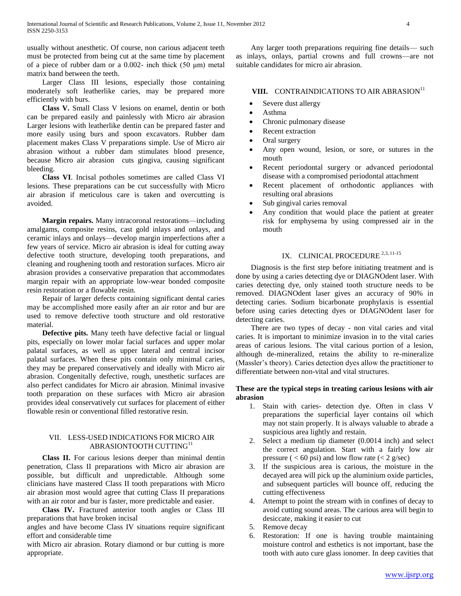usually without anesthetic. Of course, non carious adjacent teeth must be protected from being cut at the same time by placement of a piece of rubber dam or a 0.002- inch thick  $(50 \mu m)$  metal matrix band between the teeth.

 Larger Class III lesions, especially those containing moderately soft leatherlike caries, may be prepared more efficiently with burs.

 **Class V.** Small Class V lesions on enamel, dentin or both can be prepared easily and painlessly with Micro air abrasion Larger lesions with leatherlike dentin can be prepared faster and more easily using burs and spoon excavators. Rubber dam placement makes Class V preparations simple. Use of Micro air abrasion without a rubber dam stimulates blood presence, because Micro air abrasion cuts gingiva, causing significant bleeding.

 **Class VI**. Incisal potholes sometimes are called Class VI lesions. These preparations can be cut successfully with Micro air abrasion if meticulous care is taken and overcutting is avoided.

 **Margin repairs.** Many intracoronal restorations—including amalgams, composite resins, cast gold inlays and onlays, and ceramic inlays and onlays—develop margin imperfections after a few years of service. Micro air abrasion is ideal for cutting away defective tooth structure, developing tooth preparations, and cleaning and roughening tooth and restoration surfaces. Micro air abrasion provides a conservative preparation that accommodates margin repair with an appropriate low-wear bonded composite resin restoration or a flowable resin.

 Repair of larger defects containing significant dental caries may be accomplished more easily after an air rotor and bur are used to remove defective tooth structure and old restorative material.

 **Defective pits.** Many teeth have defective facial or lingual pits, especially on lower molar facial surfaces and upper molar palatal surfaces, as well as upper lateral and central incisor palatal surfaces. When these pits contain only minimal caries, they may be prepared conservatively and ideally with Micro air abrasion. Congenitally defective, rough, unesthetic surfaces are also perfect candidates for Micro air abrasion. Minimal invasive tooth preparation on these surfaces with Micro air abrasion provides ideal conservatively cut surfaces for placement of either flowable resin or conventional filled restorative resin.

# VII. LESS-USED INDICATIONS FOR MICRO AIR ABRASIONTOOTH CUTTING<sup>11</sup>

 **Class II.** For carious lesions deeper than minimal dentin penetration, Class II preparations with Micro air abrasion are possible, but difficult and unpredictable. Although some clinicians have mastered Class II tooth preparations with Micro air abrasion most would agree that cutting Class II preparations with an air rotor and bur is faster, more predictable and easier.

 **Class IV.** Fractured anterior tooth angles or Class III preparations that have broken incisal

angles and have become Class IV situations require significant effort and considerable time

with Micro air abrasion. Rotary diamond or bur cutting is more appropriate.

 Any larger tooth preparations requiring fine details— such as inlays, onlays, partial crowns and full crowns—are not suitable candidates for micro air abrasion.

VIII. CONTRAINDICATIONS TO AIR ABRASION<sup>11</sup>

- Severe dust allergy
- Asthma
- Chronic pulmonary disease
- Recent extraction
- Oral surgery
- Any open wound, lesion, or sore, or sutures in the mouth
- Recent periodontal surgery or advanced periodontal disease with a compromised periodontal attachment
- Recent placement of orthodontic appliances with resulting oral abrasions
- Sub gingival caries removal
- Any condition that would place the patient at greater risk for emphysema by using compressed air in the mouth

# IX. CLINICAL PROCEDURE<sup>2,3, 11-15</sup>

 Diagnosis is the first step before initiating treatment and is done by using a caries detecting dye or DIAGNOdent laser. With caries detecting dye, only stained tooth structure needs to be removed. DIAGNOdent laser gives an accuracy of 90% in detecting caries. Sodium bicarbonate prophylaxis is essential before using caries detecting dyes or DIAGNOdent laser for detecting caries.

 There are two types of decay - non vital caries and vital caries. It is important to minimize invasion in to the vital caries areas of carious lesions. The vital carious portion of a lesion, although de-mineralized, retains the ability to re-mineralize (Massler's theory). Caries detection dyes allow the practitioner to differentiate between non-vital and vital structures.

### **These are the typical steps in treating carious lesions with air abrasion**

- 1. Stain with caries- detection dye. Often in class V preparations the superficial layer contains oil which may not stain properly. It is always valuable to abrade a suspicious area lightly and restain.
- 2. Select a medium tip diameter (0.0014 inch) and select the correct angulation. Start with a fairly low air pressure (  $< 60$  psi) and low flow rate ( $< 2$  g/sec)
- 3. If the suspicious area is carious, the moisture in the decayed area will pick up the aluminium oxide particles, and subsequent particles will bounce off, reducing the cutting effectiveness
- 4. Attempt to point the stream with in confines of decay to avoid cutting sound areas. The carious area will begin to desiccate, making it easier to cut
- 5. Remove decay
- 6. Restoration: If one is having trouble maintaining moisture control and esthetics is not important, base the tooth with auto cure glass ionomer. In deep cavities that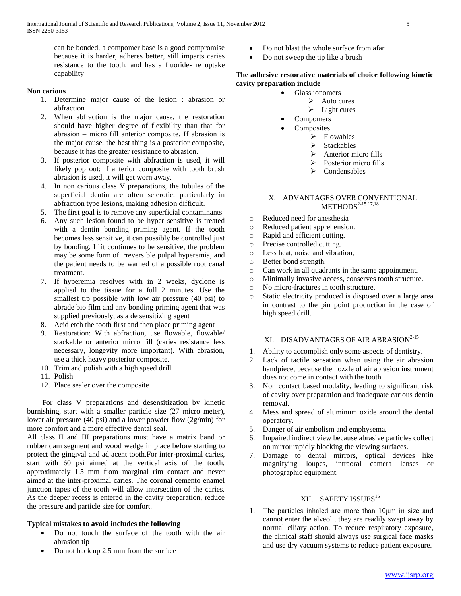can be bonded, a compomer base is a good compromise because it is harder, adheres better, still imparts caries resistance to the tooth, and has a fluoride- re uptake capability

### **Non carious**

- 1. Determine major cause of the lesion : abrasion or abfraction
- 2. When abfraction is the major cause, the restoration should have higher degree of flexibility than that for abrasion – micro fill anterior composite. If abrasion is the major cause, the best thing is a posterior composite, because it has the greater resistance to abrasion.
- 3. If posterior composite with abfraction is used, it will likely pop out; if anterior composite with tooth brush abrasion is used, it will get worn away.
- 4. In non carious class V preparations, the tubules of the superficial dentin are often sclerotic, particularly in abfraction type lesions, making adhesion difficult.
- 5. The first goal is to remove any superficial contaminants
- 6. Any such lesion found to be hyper sensitive is treated with a dentin bonding priming agent. If the tooth becomes less sensitive, it can possibly be controlled just by bonding. If it continues to be sensitive, the problem may be some form of irreversible pulpal hyperemia, and the patient needs to be warned of a possible root canal treatment.
- 7. If hyperemia resolves with in 2 weeks, dyclone is applied to the tissue for a full 2 minutes. Use the smallest tip possible with low air pressure (40 psi) to abrade bio film and any bonding priming agent that was supplied previously, as a de sensitizing agent
- 8. Acid etch the tooth first and then place priming agent
- 9. Restoration: With abfraction, use flowable, flowable/ stackable or anterior micro fill (caries resistance less necessary, longevity more important). With abrasion, use a thick heavy posterior composite.
- 10. Trim and polish with a high speed drill
- 11. Polish
- 12. Place sealer over the composite

 For class V preparations and desensitization by kinetic burnishing, start with a smaller particle size (27 micro meter), lower air pressure (40 psi) and a lower powder flow (2g/min) for more comfort and a more effective dental seal.

All class II and III preparations must have a matrix band or rubber dam segment and wood wedge in place before starting to protect the gingival and adjacent tooth.For inter-proximal caries, start with 60 psi aimed at the vertical axis of the tooth, approximately 1.5 mm from marginal rim contact and never aimed at the inter-proximal caries. The coronal cemento enamel junction tapes of the tooth will allow intersection of the caries. As the deeper recess is entered in the cavity preparation, reduce the pressure and particle size for comfort.

# **Typical mistakes to avoid includes the following**

- Do not touch the surface of the tooth with the air abrasion tip
- Do not back up 2.5 mm from the surface
- Do not blast the whole surface from afar
- Do not sweep the tip like a brush

# **The adhesive restorative materials of choice following kinetic cavity preparation include**

- Glass ionomers
	- $\triangleright$  Auto cures
	- $\blacktriangleright$  Light cures
	- Compomers
- Composites
	- $\triangleright$  Flowables
	- $\triangleright$  Stackables
	- $\triangleright$  Anterior micro fills
	- $\triangleright$  Posterior micro fills
	- $\triangleright$  Condensables

### X. ADVANTAGES OVER CONVENTIONAL  $METHODS<sup>2-15.17,18</sup>$

- o Reduced need for anesthesia
- o Reduced patient apprehension.
- o Rapid and efficient cutting.
- o Precise controlled cutting.
- o Less heat, noise and vibration,
- o Better bond strength.
- o Can work in all quadrants in the same appointment.
- o Minimally invasive access, conserves tooth structure.
- o No micro-fractures in tooth structure.
- o Static electricity produced is disposed over a large area in contrast to the pin point production in the case of high speed drill.

# XI. DISADVANTAGES OF AIR ABRASION<sup>2-15</sup>

- 1. Ability to accomplish only some aspects of dentistry.
- 2. Lack of tactile sensation when using the air abrasion handpiece, because the nozzle of air abrasion instrument does not come in contact with the tooth.
- 3. Non contact based modality, leading to significant risk of cavity over preparation and inadequate carious dentin removal.
- 4. Mess and spread of aluminum oxide around the dental operatory.
- 5. Danger of air embolism and emphysema.
- 6. Impaired indirect view because abrasive particles collect on mirror rapidly blocking the viewing surfaces.
- 7. Damage to dental mirrors, optical devices like magnifying loupes, intraoral camera lenses or photographic equipment.

# XII. SAFETY ISSUES<sup>16</sup>

1. The particles inhaled are more than 10μm in size and cannot enter the alveoli, they are readily swept away by normal ciliary action. To reduce respiratory exposure, the clinical staff should always use surgical face masks and use dry vacuum systems to reduce patient exposure.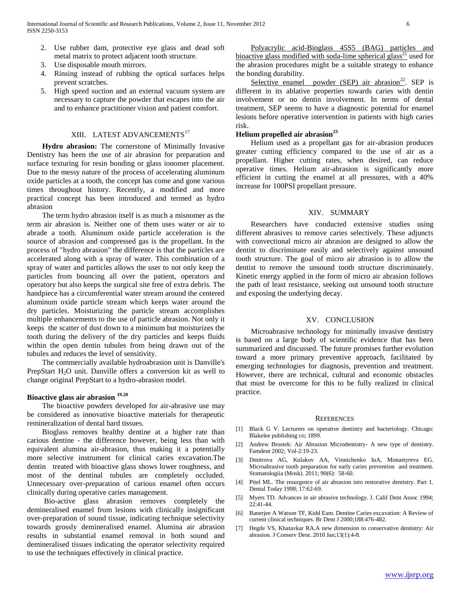- 2. Use rubber dam, protective eye glass and dead soft metal matrix to protect adjacent tooth structure.
- 3. Use disposable mouth mirrors.
- 4. Rinsing instead of rubbing the optical surfaces helps prevent scratches.
- 5. High speed suction and an external vacuum system are necessary to capture the powder that escapes into the air and to enhance practitioner vision and patient comfort.

# XIII. LATEST ADVANCEMENTS<sup>17</sup>

 **Hydro abrasion:** The cornerstone of Minimally Invasive Dentistry has been the use of air abrasion for preparation and surface texturing for resin bonding or glass ionomer placement. Due to the messy nature of the process of accelerating aluminum oxide particles at a tooth, the concept has come and gone various times throughout history. Recently, a modified and more practical concept has been introduced and termed as hydro abrasion

 The term hydro abrasion itself is as much a misnomer as the term air abrasion is. Neither one of them uses water or air to abrade a tooth. Aluminum oxide particle acceleration is the source of abrasion and compressed gas is the propellant. In the process of "hydro abrasion" the difference is that the particles are accelerated along with a spray of water. This combination of a spray of water and particles allows the user to not only keep the particles from bouncing all over the patient, operators and operatory but also keeps the surgical site free of extra debris. The handpiece has a circumferential water stream around the centered aluminum oxide particle stream which keeps water around the dry particles. Moisturizing the particle stream accomplishes multiple enhancements to the use of particle abrasion. Not only it keeps the scatter of dust down to a minimum but moisturizes the tooth during the delivery of the dry particles and keeps fluids within the open dentin tubules from being drawn out of the tubules and reduces the level of sensitivity.

 The commercially available hydroabrasion unit is Danville's PrepStart  $H_2O$  unit. Danville offers a conversion kit as well to change original PrepStart to a hydro-abrasion model.

# **Bioactive glass air abrasion 19.20**

 The bioactive powders developed for air-abrasive use may be considered as innovative bioactive materials for therapeutic remineralization of dental hard tissues.

 Bioglass removes healthy dentine at a higher rate than carious dentine - the difference however, being less than with equivalent alumina air-abrasion, thus making it a potentially more selective instrument for clinical caries excavation.The dentin treated with bioactive glass shows lower roughness, and most of the dentinal tubules are completely occluded. Unnecessary over-preparation of carious enamel often occurs clinically during operative caries management.

 Bio-active glass abrasion removes completely the demineralised enamel from lesions with clinically insignificant over-preparation of sound tissue, indicating technique selectivity towards grossly demineralised enamel. Alumina air abrasion results in substantial enamel removal in both sound and demineralised tissues indicating the operator selectivity required to use the techniques effectively in clinical practice.

 Polyacrylic acid-Bioglass 45S5 (BAG) particles and bioactive glass modified with soda-lime spherical glass<sup>21</sup> used for the abrasion procedures might be a suitable strategy to enhance the bonding durability.

Selective enamel powder  $(SEP)$  air abrasion<sup>22</sup>. SEP is different in its ablative properties towards caries with dentin involvement or no dentin involvement. In terms of dental treatment, SEP seems to have a diagnostic potential for enamel lesions before operative intervention in patients with high caries risk.

# **Helium propelled air abrasion<sup>23</sup>**

 Helium used as a propellant gas for air-abrasion produces greater cutting efficiency compared to the use of air as a propellant. Higher cutting rates, when desired, can reduce operative times. Helium air-abrasion is significantly more efficient in cutting the enamel at all pressures, with a 40% increase for 100PSI propellant pressure.

### XIV. SUMMARY

 Researchers have conducted extensive studies using different abrasives to remove caries selectively. These adjuncts with convectional micro air abrasion are designed to allow the dentist to discriminate easily and selectively against unsound tooth structure. The goal of micro air abrasion is to allow the dentist to remove the unsound tooth structure discriminately. Kinetic energy applied in the form of micro air abrasion follows the path of least resistance, seeking out unsound tooth structure and exposing the underlying decay.

### XV. CONCLUSION

 Microabrasive technology for minimally invasive dentistry is based on a large body of scientific evidence that has been summarized and discussed. The future promises further evolution toward a more primary preventive approach, facilitated by emerging technologies for diagnosis, prevention and treatment. However, there are technical, cultural and economic obstacles that must be overcome for this to be fully realized in clinical practice.

#### **REFERENCES**

- [1] Black G V. Lecturers on operative dentistry and bacteriology. Chicago: Blakelee publishing co; 1899.
- [2] Andrew Brostek: Air Abrasion Microdentistry- A new type of dentistry. Famdent 2002; Vol-2:19-23.
- [3] Dmitrova AG, Kulakov AA, Vinnichenko IuA, Monastyreva EG. Microabrasive tooth [preparation for early caries prevention and treatment.](http://www.ncbi.nlm.nih.gov/pubmed/22433647) Stomatologiia (Mosk). 2011; 90(6): 58-60.
- [4] Pitel ML. The resurgence of air abrasion into restorative dentistry. Part 1. Dental Today 1998; 17:62-69.
- [5] Myers TD. Advances in air abrasive technology. J. Calif Dent Assoc 1994; 22:41-44.
- [6] Banerjee A Watson TF, Kidd Eam. Dentine Caries excavation: A Review of current clinical techniques. Br Dent J 2000;188:476-482.
- [7] [Hegde VS,](http://www.ncbi.nlm.nih.gov/pubmed?term=Hegde%20VS%5BAuthor%5D&cauthor=true&cauthor_uid=20582212) [Khatavkar RA.](http://www.ncbi.nlm.nih.gov/pubmed?term=Khatavkar%20RA%5BAuthor%5D&cauthor=true&cauthor_uid=20582212)A new dimension to conservative dentistry: Air abrasion[. J Conserv Dent.](http://www.ncbi.nlm.nih.gov/pubmed/20582212) 2010 Jan;13(1):4-8.